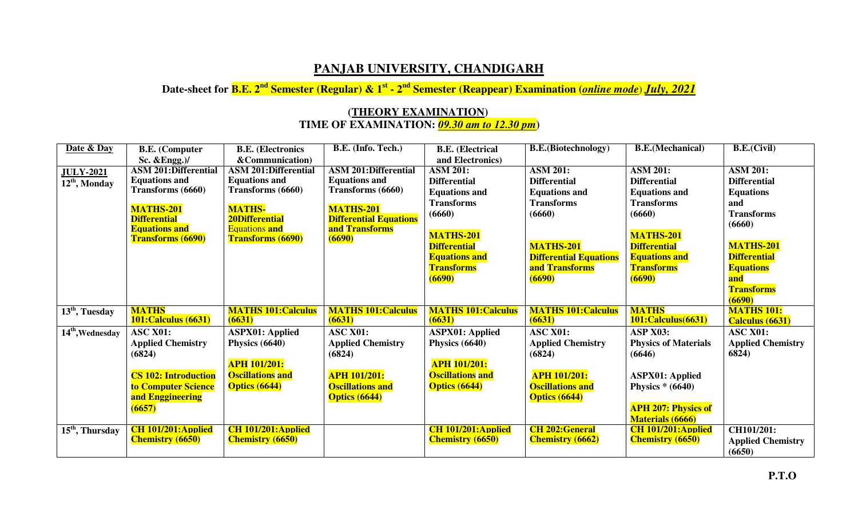## **PANJAB UNIVERSITY, CHANDIGARH**

**Date-sheet for B.E. 2nd Semester (Regular) & 1st - 2nd Semester (Reappear) Examination (***online mode*) *July, 2021*

## **(THEORY EXAMINATION) TIME OF EXAMINATION:** *09.30 am to 12.30 pm***)**

| Date & Day                  | <b>B.E.</b> (Computer                       | <b>B.E.</b> (Electronics                      | B.E. (Info. Tech.)                              | <b>B.E.</b> (Electrical    | <b>B.E.</b> (Biotechnology)   | <b>B.E.</b> (Mechanical)    | B.E.(Civil)              |
|-----------------------------|---------------------------------------------|-----------------------------------------------|-------------------------------------------------|----------------------------|-------------------------------|-----------------------------|--------------------------|
|                             | Sc. $&Engg.$ )/                             | &Communication)                               |                                                 | and Electronics)           |                               |                             |                          |
| <b>JULY-2021</b>            | <b>ASM 201:Differential</b>                 | <b>ASM 201:Differential</b>                   | <b>ASM 201:Differential</b>                     | <b>ASM 201:</b>            | <b>ASM 201:</b>               | <b>ASM 201:</b>             | <b>ASM 201:</b>          |
| 12 <sup>th</sup> , Monday   | <b>Equations and</b>                        | <b>Equations and</b>                          | <b>Equations and</b>                            | <b>Differential</b>        | <b>Differential</b>           | <b>Differential</b>         | <b>Differential</b>      |
|                             | Transforms (6660)                           | Transforms (6660)                             | Transforms (6660)                               | <b>Equations and</b>       | <b>Equations and</b>          | <b>Equations and</b>        | <b>Equations</b>         |
|                             |                                             |                                               |                                                 | <b>Transforms</b>          | <b>Transforms</b>             | <b>Transforms</b>           | and                      |
|                             | <b>MATHS-201</b>                            | <b>MATHS-</b>                                 | <b>MATHS-201</b>                                | (6660)                     | (6660)                        | (6660)                      | <b>Transforms</b>        |
|                             | <b>Differential</b><br><b>Equations and</b> | <b>20Differential</b><br><b>Equations and</b> | <b>Differential Equations</b><br>and Transforms |                            |                               |                             | (6660)                   |
|                             | <b>Transforms (6690)</b>                    | <b>Transforms (6690)</b>                      | (6690)                                          | <b>MATHS-201</b>           |                               | <b>MATHS-201</b>            |                          |
|                             |                                             |                                               |                                                 | <b>Differential</b>        | <b>MATHS-201</b>              | <b>Differential</b>         | <b>MATHS-201</b>         |
|                             |                                             |                                               |                                                 | <b>Equations and</b>       | <b>Differential Equations</b> | <b>Equations and</b>        | <b>Differential</b>      |
|                             |                                             |                                               |                                                 | <b>Transforms</b>          | and Transforms                | <b>Transforms</b>           | <b>Equations</b>         |
|                             |                                             |                                               |                                                 | (6690)                     | (6690)                        | (6690)                      | and                      |
|                             |                                             |                                               |                                                 |                            |                               |                             | <b>Transforms</b>        |
|                             |                                             |                                               |                                                 |                            |                               |                             | (6690)                   |
| $13th$ , Tuesday            | <b>MATHS</b>                                | <b>MATHS 101: Calculus</b>                    | <b>MATHS 101: Calculus</b>                      | <b>MATHS 101: Calculus</b> | <b>MATHS 101: Calculus</b>    | <b>MATHS</b>                | <b>MATHS 101:</b>        |
|                             | <b>101: Calculus (6631)</b>                 | (6631)                                        | (6631)                                          | (6631)                     | (6631)                        | 101:Calculus(6631)          | Calculus (6631)          |
| $14th$ , Wednesday          | <b>ASC X01:</b>                             | <b>ASPX01: Applied</b>                        | <b>ASC X01:</b>                                 | <b>ASPX01: Applied</b>     | <b>ASC X01:</b>               | <b>ASP X03:</b>             | <b>ASC X01:</b>          |
|                             | <b>Applied Chemistry</b>                    | Physics (6640)                                | <b>Applied Chemistry</b>                        | Physics (6640)             | <b>Applied Chemistry</b>      | <b>Physics of Materials</b> | <b>Applied Chemistry</b> |
|                             | (6824)                                      |                                               | (6824)                                          |                            | (6824)                        | (6646)                      | 6824)                    |
|                             |                                             | <b>APH 101/201:</b>                           |                                                 | <b>APH 101/201:</b>        |                               |                             |                          |
|                             | <b>CS 102: Introduction</b>                 | <b>Oscillations</b> and                       | <b>APH 101/201:</b>                             | <b>Oscillations</b> and    | <b>APH 101/201:</b>           | <b>ASPX01: Applied</b>      |                          |
|                             | to Computer Science                         | <b>Optics (6644)</b>                          | <b>Oscillations and</b>                         | <b>Optics (6644)</b>       | <b>Oscillations and</b>       | Physics $*(6640)$           |                          |
|                             | and Enggineering                            |                                               | <b>Optics (6644)</b>                            |                            | <b>Optics (6644)</b>          |                             |                          |
|                             | (6657)                                      |                                               |                                                 |                            |                               | <b>APH 207: Physics of</b>  |                          |
|                             |                                             |                                               |                                                 |                            |                               | <b>Materials (6666)</b>     |                          |
| 15 <sup>th</sup> , Thursday | <b>CH</b> 101/201: Applied                  | <b>CH 101/201: Applied</b>                    |                                                 | <b>CH 101/201: Applied</b> | <b>CH 202: General</b>        | <b>CH 101/201:Applied</b>   | CH101/201:               |
|                             | <b>Chemistry (6650)</b>                     | <b>Chemistry (6650)</b>                       |                                                 | <b>Chemistry (6650)</b>    | <b>Chemistry (6662)</b>       | <b>Chemistry (6650)</b>     | <b>Applied Chemistry</b> |
|                             |                                             |                                               |                                                 |                            |                               |                             | (6650)                   |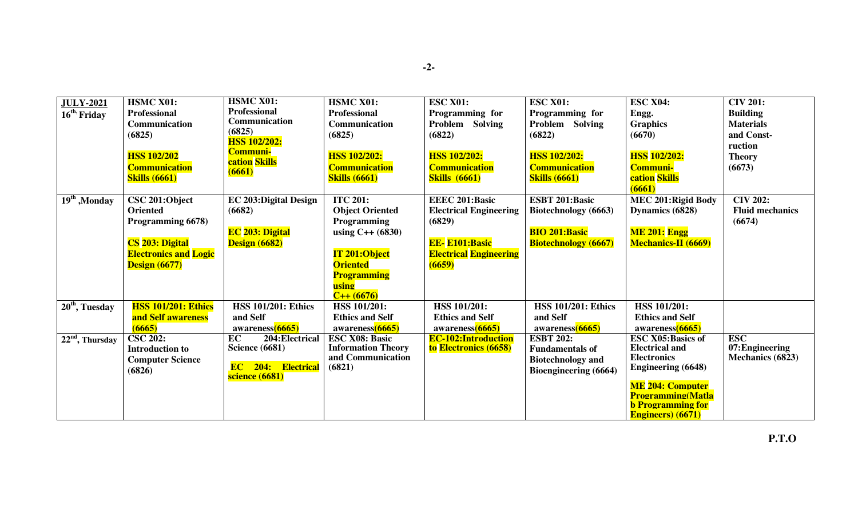| <b>JULY-2021</b>           | <b>HSMC X01:</b>             | <b>HSMC X01:</b>                            | HSMC X01:                 | <b>ESC X01:</b>               | <b>ESC X01:</b>             | <b>ESC X04:</b>            | <b>CIV 201:</b>        |
|----------------------------|------------------------------|---------------------------------------------|---------------------------|-------------------------------|-----------------------------|----------------------------|------------------------|
| 16 <sup>th,</sup> Friday   | <b>Professional</b>          | <b>Professional</b>                         | Professional              | Programming for               | Programming for             | Engg.                      | <b>Building</b>        |
|                            | Communication                | Communication                               | Communication             | Problem Solving               | Problem Solving             | <b>Graphics</b>            | <b>Materials</b>       |
|                            | (6825)                       | (6825)                                      | (6825)                    | (6822)                        | (6822)                      | (6670)                     | and Const-             |
|                            |                              | <b>HSS 102/202:</b>                         |                           |                               |                             |                            | ruction                |
|                            | <b>HSS 102/202</b>           | <b>Communi-</b>                             | <b>HSS 102/202:</b>       | <b>HSS 102/202:</b>           | <b>HSS 102/202:</b>         | <b>HSS</b> 102/202:        | <b>Theory</b>          |
|                            | <b>Communication</b>         | cation Skills                               | <b>Communication</b>      | <b>Communication</b>          | <b>Communication</b>        | <b>Communi-</b>            | (6673)                 |
|                            | <b>Skills (6661)</b>         | (6661)                                      | <b>Skills (6661)</b>      | <b>Skills</b> (6661)          | <b>Skills (6661)</b>        | cation Skills              |                        |
|                            |                              |                                             |                           |                               |                             | (6661)                     |                        |
| 19 <sup>th</sup> , Monday  | CSC 201:Object               | <b>EC 203: Digital Design</b>               | <b>ITC 201:</b>           | <b>EEEC 201:Basic</b>         | <b>ESBT 201:Basic</b>       | <b>MEC 201: Rigid Body</b> | $\overline{C}$ IV 202: |
|                            | <b>Oriented</b>              | (6682)                                      | <b>Object Oriented</b>    | <b>Electrical Engineering</b> | Biotechnology (6663)        | Dynamics (6828)            | <b>Fluid mechanics</b> |
|                            | Programming 6678)            |                                             | <b>Programming</b>        | (6829)                        |                             |                            | (6674)                 |
|                            |                              | <b>EC</b> 203: Digital                      | using $C++ (6830)$        |                               | <b>BIO 201:Basic</b>        | <b>ME 201: Engg</b>        |                        |
|                            | CS 203: Digital              | <b>Design (6682)</b>                        |                           | <b>EE-E101:Basic</b>          | <b>Biotechnology</b> (6667) | <b>Mechanics-II (6669)</b> |                        |
|                            | <b>Electronics and Logic</b> |                                             | <b>IT 201:Object</b>      | <b>Electrical Engineering</b> |                             |                            |                        |
|                            | <b>Design (6677)</b>         |                                             | <b>Oriented</b>           | (6659)                        |                             |                            |                        |
|                            |                              |                                             | <b>Programming</b>        |                               |                             |                            |                        |
|                            |                              |                                             | using                     |                               |                             |                            |                        |
|                            |                              |                                             | $C++(6676)$               |                               |                             |                            |                        |
| 20 <sup>th</sup> , Tuesday | <b>HSS 101/201: Ethics</b>   | <b>HSS 101/201: Ethics</b>                  | <b>HSS 101/201:</b>       | <b>HSS 101/201:</b>           | <b>HSS 101/201: Ethics</b>  | <b>HSS 101/201:</b>        |                        |
|                            | and Self awareness           | and Self                                    | <b>Ethics and Self</b>    | <b>Ethics and Self</b>        | and Self                    | <b>Ethics and Self</b>     |                        |
|                            | (6665)                       | awareness <sup>(6665)</sup>                 | awareness(6665)           | awareness(6665)               | awareness(6665)             | awareness(6665)            |                        |
| $22nd$ , Thursday          | <b>CSC 202:</b>              | EC<br>204: Electrical                       | <b>ESC X08: Basic</b>     | <b>EC-102:Introduction</b>    | <b>ESBT 202:</b>            | <b>ESC X05:Basics of</b>   | <b>ESC</b>             |
|                            | <b>Introduction to</b>       | <b>Science (6681)</b>                       | <b>Information Theory</b> | to Electronics (6658)         | <b>Fundamentals of</b>      | <b>Electrical and</b>      | 07: Engineering        |
|                            | <b>Computer Science</b>      |                                             | and Communication         |                               | <b>Biotechnology and</b>    | <b>Electronics</b>         | Mechanics (6823)       |
|                            | (6826)                       | <b>EC</b> 204: Electrical<br>science (6681) | (6821)                    |                               | Bioengineering (6664)       | <b>Engineering (6648)</b>  |                        |
|                            |                              |                                             |                           |                               |                             | <b>ME 204: Computer</b>    |                        |
|                            |                              |                                             |                           |                               |                             | <b>Programming</b> (Matla  |                        |
|                            |                              |                                             |                           |                               |                             | <b>b</b> Programming for   |                        |
|                            |                              |                                             |                           |                               |                             | <b>Engineers</b> ) (6671)  |                        |